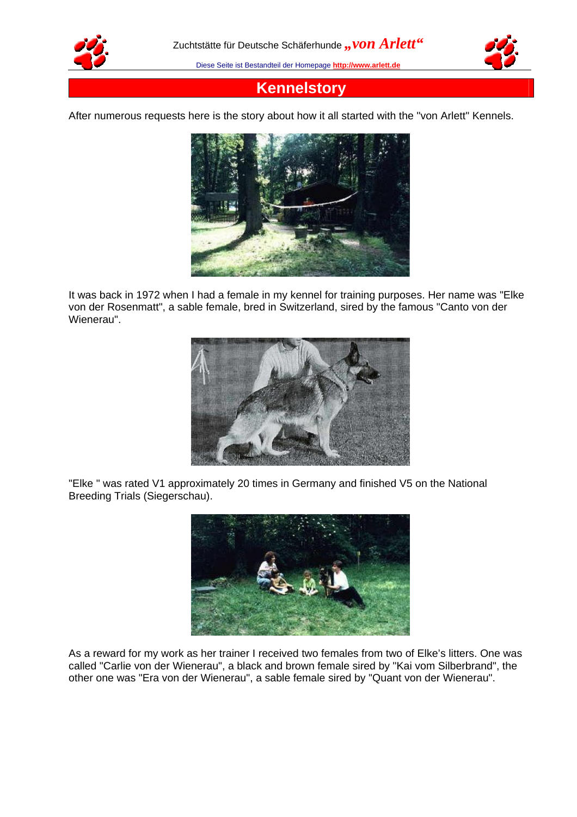



## **Kennelstory**

After numerous requests here is the story about how it all started with the "von Arlett" Kennels.



It was back in 1972 when I had a female in my kennel for training purposes. Her name was "Elke von der Rosenmatt", a sable female, bred in Switzerland, sired by the famous "Canto von der Wienerau".



"Elke " was rated V1 approximately 20 times in Germany and finished V5 on the National Breeding Trials (Siegerschau).



As a reward for my work as her trainer I received two females from two of Elke's litters. One was called "Carlie von der Wienerau", a black and brown female sired by "Kai vom Silberbrand", the other one was "Era von der Wienerau", a sable female sired by "Quant von der Wienerau".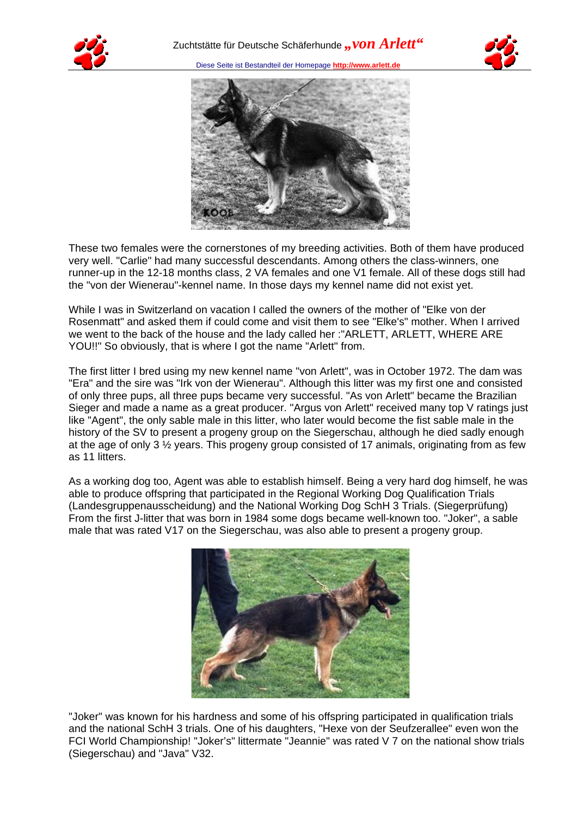





These two females were the cornerstones of my breeding activities. Both of them have produced very well. "Carlie" had many successful descendants. Among others the class-winners, one runner-up in the 12-18 months class, 2 VA females and one V1 female. All of these dogs still had the "von der Wienerau"-kennel name. In those days my kennel name did not exist yet.

While I was in Switzerland on vacation I called the owners of the mother of "Elke von der Rosenmatt" and asked them if could come and visit them to see "Elke's" mother. When I arrived we went to the back of the house and the lady called her :"ARLETT, ARLETT, WHERE ARE YOU!!" So obviously, that is where I got the name "Arlett" from.

The first litter I bred using my new kennel name "von Arlett", was in October 1972. The dam was "Era" and the sire was "Irk von der Wienerau". Although this litter was my first one and consisted of only three pups, all three pups became very successful. "As von Arlett" became the Brazilian Sieger and made a name as a great producer. "Argus von Arlett" received many top V ratings just like "Agent", the only sable male in this litter, who later would become the fist sable male in the history of the SV to present a progeny group on the Siegerschau, although he died sadly enough at the age of only 3  $\frac{1}{2}$  years. This progeny group consisted of 17 animals, originating from as few as 11 litters.

As a working dog too, Agent was able to establish himself. Being a very hard dog himself, he was able to produce offspring that participated in the Regional Working Dog Qualification Trials (Landesgruppenausscheidung) and the National Working Dog SchH 3 Trials. (Siegerprüfung) From the first J-litter that was born in 1984 some dogs became well-known too. "Joker", a sable male that was rated V17 on the Siegerschau, was also able to present a progeny group.



"Joker" was known for his hardness and some of his offspring participated in qualification trials and the national SchH 3 trials. One of his daughters, "Hexe von der Seufzerallee" even won the FCI World Championship! "Joker's" littermate "Jeannie" was rated V 7 on the national show trials (Siegerschau) and "Java" V32.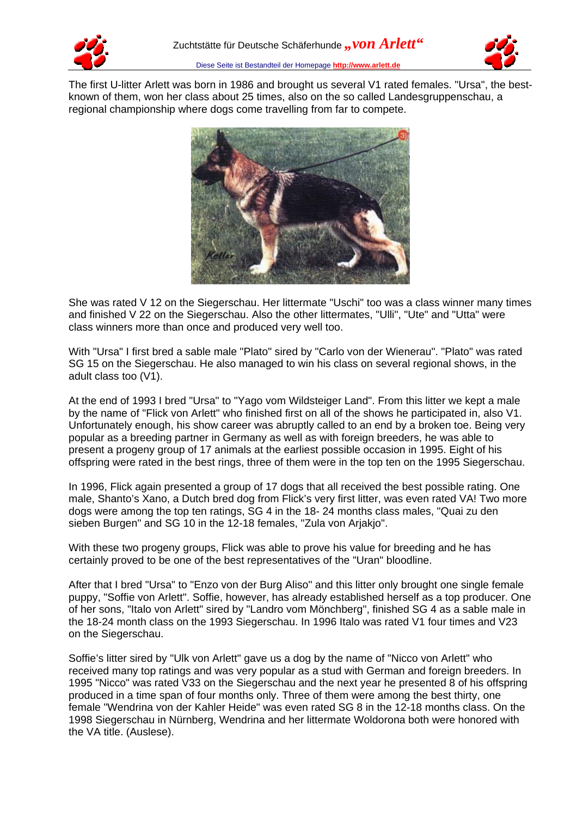



The first U-litter Arlett was born in 1986 and brought us several V1 rated females. "Ursa", the bestknown of them, won her class about 25 times, also on the so called Landesgruppenschau, a regional championship where dogs come travelling from far to compete.



She was rated V 12 on the Siegerschau. Her littermate "Uschi" too was a class winner many times and finished V 22 on the Siegerschau. Also the other littermates, "Ulli", "Ute" and "Utta" were class winners more than once and produced very well too.

With "Ursa" I first bred a sable male "Plato" sired by "Carlo von der Wienerau". "Plato" was rated SG 15 on the Siegerschau. He also managed to win his class on several regional shows, in the adult class too (V1).

At the end of 1993 I bred "Ursa" to "Yago vom Wildsteiger Land". From this litter we kept a male by the name of "Flick von Arlett" who finished first on all of the shows he participated in, also V1. Unfortunately enough, his show career was abruptly called to an end by a broken toe. Being very popular as a breeding partner in Germany as well as with foreign breeders, he was able to present a progeny group of 17 animals at the earliest possible occasion in 1995. Eight of his offspring were rated in the best rings, three of them were in the top ten on the 1995 Siegerschau.

In 1996, Flick again presented a group of 17 dogs that all received the best possible rating. One male, Shanto's Xano, a Dutch bred dog from Flick's very first litter, was even rated VA! Two more dogs were among the top ten ratings, SG 4 in the 18- 24 months class males, "Quai zu den sieben Burgen" and SG 10 in the 12-18 females, "Zula von Arjakjo".

With these two progeny groups, Flick was able to prove his value for breeding and he has certainly proved to be one of the best representatives of the "Uran" bloodline.

After that I bred "Ursa" to "Enzo von der Burg Aliso" and this litter only brought one single female puppy, "Soffie von Arlett". Soffie, however, has already established herself as a top producer. One of her sons, "Italo von Arlett" sired by "Landro vom Mönchberg", finished SG 4 as a sable male in the 18-24 month class on the 1993 Siegerschau. In 1996 Italo was rated V1 four times and V23 on the Siegerschau.

Soffie's litter sired by "Ulk von Arlett" gave us a dog by the name of "Nicco von Arlett" who received many top ratings and was very popular as a stud with German and foreign breeders. In 1995 "Nicco" was rated V33 on the Siegerschau and the next year he presented 8 of his offspring produced in a time span of four months only. Three of them were among the best thirty, one female "Wendrina von der Kahler Heide" was even rated SG 8 in the 12-18 months class. On the 1998 Siegerschau in Nürnberg, Wendrina and her littermate Woldorona both were honored with the VA title. (Auslese).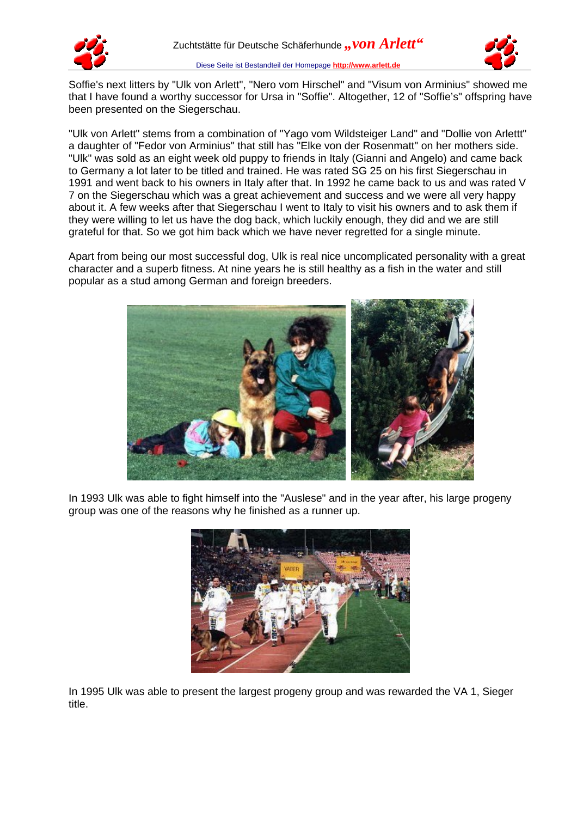



Soffie's next litters by "Ulk von Arlett", "Nero vom Hirschel" and "Visum von Arminius" showed me that I have found a worthy successor for Ursa in "Soffie". Altogether, 12 of "Soffie's" offspring have been presented on the Siegerschau.

"Ulk von Arlett" stems from a combination of "Yago vom Wildsteiger Land" and "Dollie von Arlettt" a daughter of "Fedor von Arminius" that still has "Elke von der Rosenmatt" on her mothers side. "Ulk" was sold as an eight week old puppy to friends in Italy (Gianni and Angelo) and came back to Germany a lot later to be titled and trained. He was rated SG 25 on his first Siegerschau in 1991 and went back to his owners in Italy after that. In 1992 he came back to us and was rated V 7 on the Siegerschau which was a great achievement and success and we were all very happy about it. A few weeks after that Siegerschau I went to Italy to visit his owners and to ask them if they were willing to let us have the dog back, which luckily enough, they did and we are still grateful for that. So we got him back which we have never regretted for a single minute.

Apart from being our most successful dog, Ulk is real nice uncomplicated personality with a great character and a superb fitness. At nine years he is still healthy as a fish in the water and still popular as a stud among German and foreign breeders.



In 1993 Ulk was able to fight himself into the "Auslese" and in the year after, his large progeny group was one of the reasons why he finished as a runner up.



In 1995 Ulk was able to present the largest progeny group and was rewarded the VA 1, Sieger title.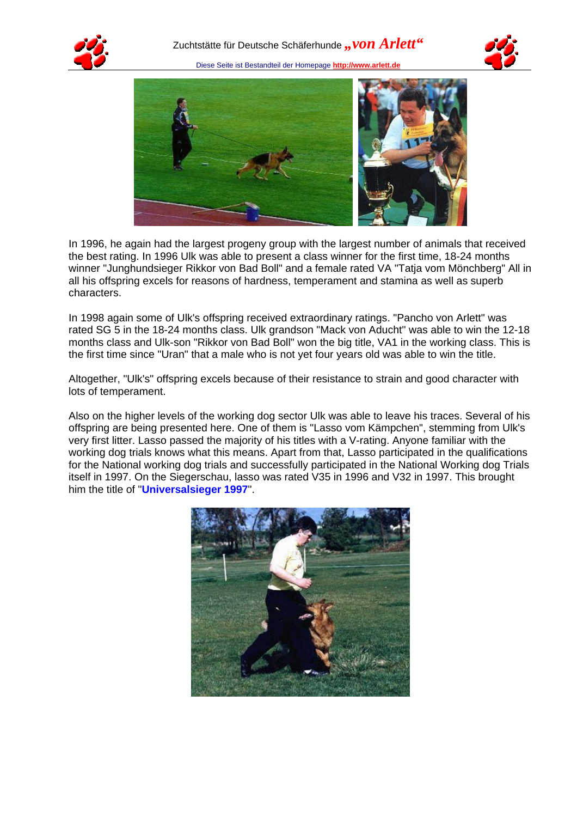





In 1996, he again had the largest progeny group with the largest number of animals that received the best rating. In 1996 Ulk was able to present a class winner for the first time, 18-24 months winner "Junghundsieger Rikkor von Bad Boll" and a female rated VA "Tatja vom Mönchberg" All in all his offspring excels for reasons of hardness, temperament and stamina as well as superb characters.

In 1998 again some of Ulk's offspring received extraordinary ratings. "Pancho von Arlett" was rated SG 5 in the 18-24 months class. Ulk grandson "Mack von Aducht" was able to win the 12-18 months class and Ulk-son "Rikkor von Bad Boll" won the big title, VA1 in the working class. This is the first time since "Uran" that a male who is not yet four years old was able to win the title.

Altogether, "Ulk's" offspring excels because of their resistance to strain and good character with lots of temperament.

Also on the higher levels of the working dog sector Ulk was able to leave his traces. Several of his offspring are being presented here. One of them is "Lasso vom Kämpchen", stemming from Ulk's very first litter. Lasso passed the majority of his titles with a V-rating. Anyone familiar with the working dog trials knows what this means. Apart from that, Lasso participated in the qualifications for the National working dog trials and successfully participated in the National Working dog Trials itself in 1997. On the Siegerschau, lasso was rated V35 in 1996 and V32 in 1997. This brought him the title of "**Universalsieger 1997**".

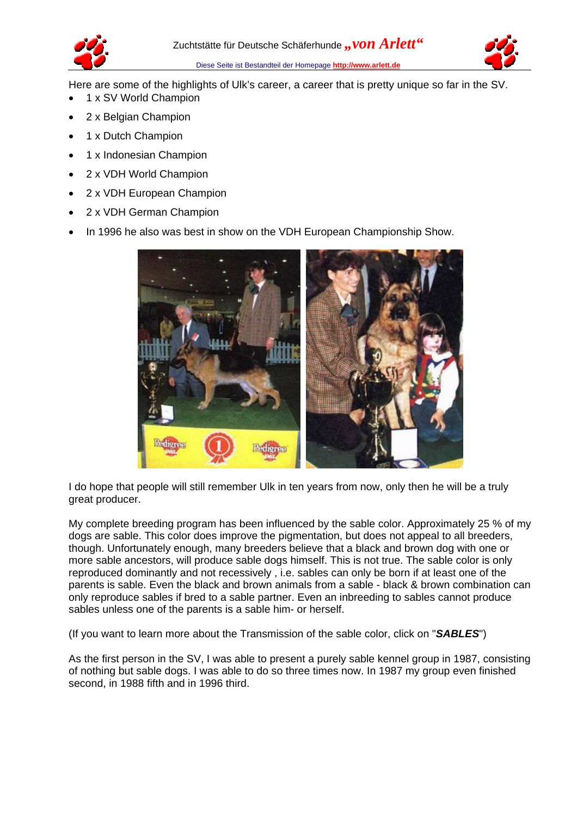



Here are some of the highlights of Ulk's career, a career that is pretty unique so far in the SV.

- 1 x SV World Champion
- 2 x Belgian Champion
- 1 x Dutch Champion
- 1 x Indonesian Champion
- 2 x VDH World Champion
- 2 x VDH European Champion
- 2 x VDH German Champion
- In 1996 he also was best in show on the VDH European Championship Show.



I do hope that people will still remember Ulk in ten years from now, only then he will be a truly great producer.

My complete breeding program has been influenced by the sable color. Approximately 25 % of my dogs are sable. This color does improve the pigmentation, but does not appeal to all breeders, though. Unfortunately enough, many breeders believe that a black and brown dog with one or more sable ancestors, will produce sable dogs himself. This is not true. The sable color is only reproduced dominantly and not recessively , i.e. sables can only be born if at least one of the parents is sable. Even the black and brown animals from a sable - black & brown combination can only reproduce sables if bred to a sable partner. Even an inbreeding to sables cannot produce sables unless one of the parents is a sable him- or herself.

(If you want to learn more about the Transmission of the sable color, click on "*SABLES*")

As the first person in the SV, I was able to present a purely sable kennel group in 1987, consisting of nothing but sable dogs. I was able to do so three times now. In 1987 my group even finished second, in 1988 fifth and in 1996 third.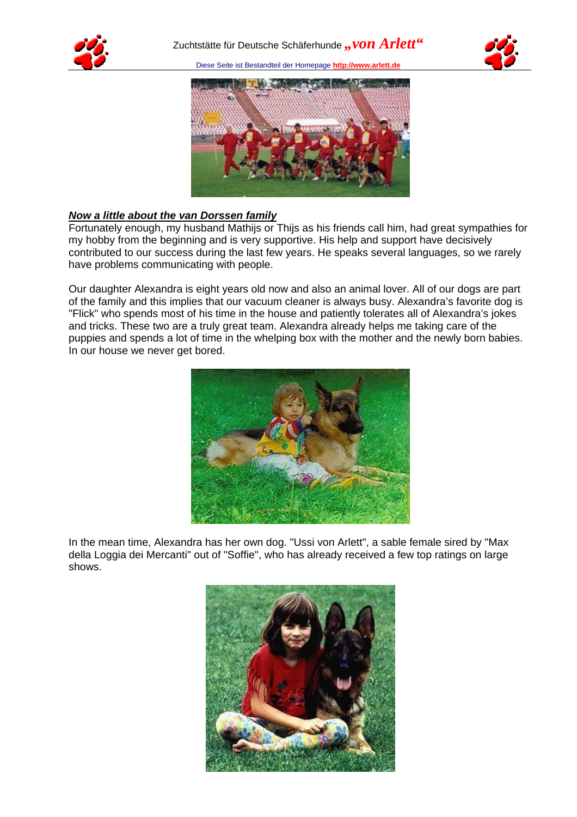





## *Now a little about the van Dorssen family*

Fortunately enough, my husband Mathijs or Thijs as his friends call him, had great sympathies for my hobby from the beginning and is very supportive. His help and support have decisively contributed to our success during the last few years. He speaks several languages, so we rarely have problems communicating with people.

Our daughter Alexandra is eight years old now and also an animal lover. All of our dogs are part of the family and this implies that our vacuum cleaner is always busy. Alexandra's favorite dog is "Flick" who spends most of his time in the house and patiently tolerates all of Alexandra's jokes and tricks. These two are a truly great team. Alexandra already helps me taking care of the puppies and spends a lot of time in the whelping box with the mother and the newly born babies. In our house we never get bored.



In the mean time, Alexandra has her own dog. "Ussi von Arlett", a sable female sired by "Max della Loggia dei Mercanti" out of "Soffie", who has already received a few top ratings on large shows.